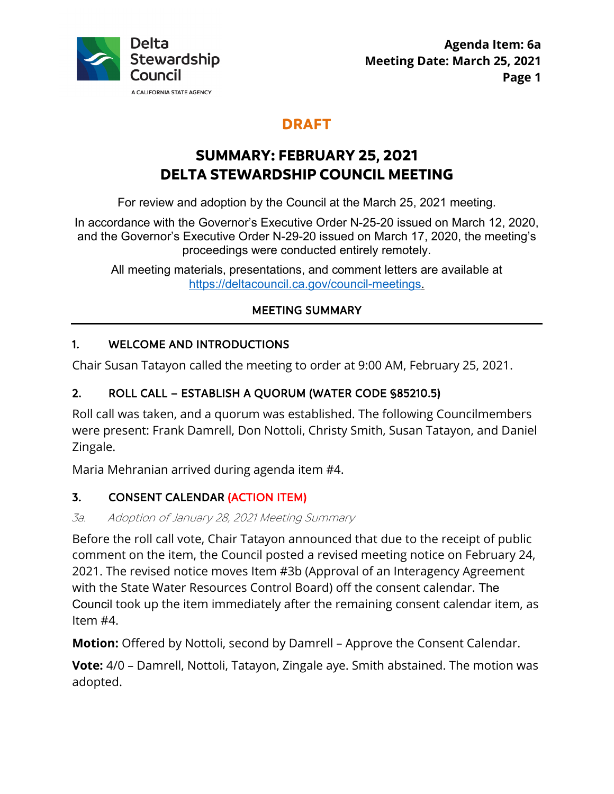

## **DRAFT**

# **SUMMARY: FEBRUARY 25, 2021 DELTA STEWARDSHIP COUNCIL MEETING**

For review and adoption by the Council at the March 25, 2021 meeting.

In accordance with the Governor's Executive Order N-25-20 issued on March 12, 2020, and the Governor's Executive Order N-29-20 issued on March 17, 2020, the meeting's proceedings were conducted entirely remotely.

All meeting materials, presentations, and comment letters are available at <https://deltacouncil.ca.gov/council-meetings>.

## MEETING SUMMARY

#### 1. WELCOME AND INTRODUCTIONS

Chair Susan Tatayon called the meeting to order at 9:00 AM, February 25, 2021.

#### 2. ROLL CALL – ESTABLISH A QUORUM (WATER CODE §85210.5)

 were present: Frank Damrell, Don Nottoli, Christy Smith, Susan Tatayon, and Daniel Roll call was taken, and a quorum was established. The following Councilmembers Zingale.

Maria Mehranian arrived during agenda item #4.

## 3. CONSENT CALENDAR (ACTION ITEM)

#### 3a. Adoption of January 28, 2021 Meeting Summary

 comment on the item, the Council posted a revised meeting notice on February 24, 2021. The revised notice moves Item #3b (Approval of an Interagency Agreement Council took up the item immediately after the remaining consent calendar item, as Before the roll call vote, Chair Tatayon announced that due to the receipt of public with the State Water Resources Control Board) off the consent calendar. The Item #4.

**Motion:** Offered by Nottoli, second by Damrell – Approve the Consent Calendar.

 **Vote:** 4/0 – Damrell, Nottoli, Tatayon, Zingale aye. Smith abstained. The motion was adopted.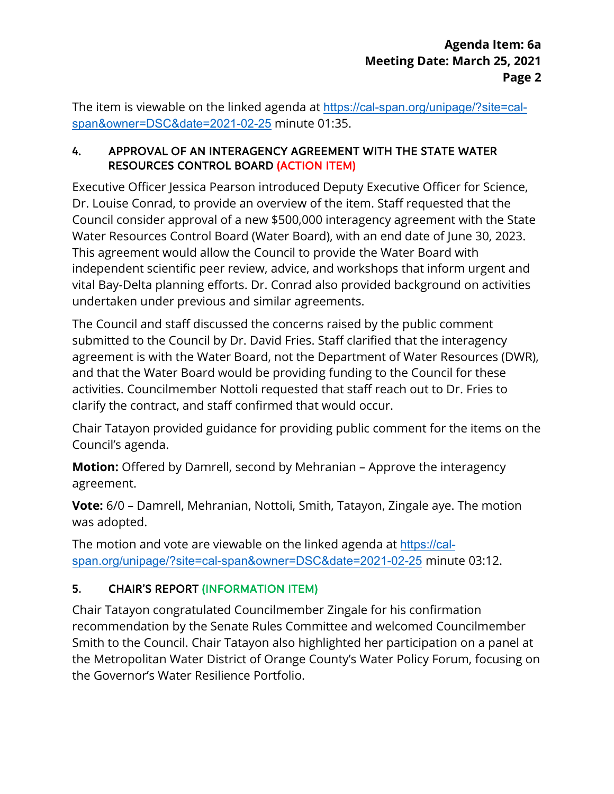The item is viewable on the linked agenda at <https://cal-span.org/unipage/?site=cal>span&owner=DSC&date=2021-02-25 minute 01:35.

#### 4. APPROVAL OF AN INTERAGENCY AGREEMENT WITH THE STATE WATER RESOURCES CONTROL BOARD (ACTION ITEM)

 Dr. Louise Conrad, to provide an overview of the item. Staff requested that the undertaken under previous and similar agreements. Executive Officer Jessica Pearson introduced Deputy Executive Officer for Science, Council consider approval of a new \$500,000 interagency agreement with the State Water Resources Control Board (Water Board), with an end date of June 30, 2023. This agreement would allow the Council to provide the Water Board with independent scientific peer review, advice, and workshops that inform urgent and vital Bay-Delta planning efforts. Dr. Conrad also provided background on activities

The Council and staff discussed the concerns raised by the public comment submitted to the Council by Dr. David Fries. Staff clarified that the interagency agreement is with the Water Board, not the Department of Water Resources (DWR), and that the Water Board would be providing funding to the Council for these activities. Councilmember Nottoli requested that staff reach out to Dr. Fries to clarify the contract, and staff confirmed that would occur.

 Chair Tatayon provided guidance for providing public comment for the items on the Council's agenda.

 **Motion:** Offered by Damrell, second by Mehranian – Approve the interagency agreement.

 **Vote:** 6/0 – Damrell, Mehranian, Nottoli, Smith, Tatayon, Zingale aye. The motion was adopted.

The motion and vote are viewable on the linked agenda at <https://cal>span.org/unipage/?site=cal-span&owner=DSC&date=2021-02-25 minute 03:12.

## 5. CHAIR'S REPORT (INFORMATION ITEM)

 recommendation by the Senate Rules Committee and welcomed Councilmember Chair Tatayon congratulated Councilmember Zingale for his confirmation Smith to the Council. Chair Tatayon also highlighted her participation on a panel at the Metropolitan Water District of Orange County's Water Policy Forum, focusing on the Governor's Water Resilience Portfolio.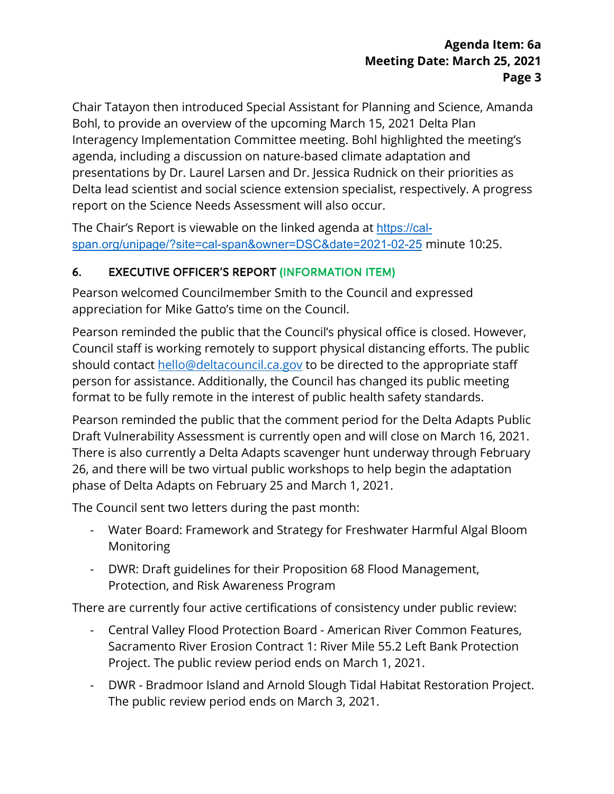#### **Agenda Item: 6a Agenda Item: 6a Meeting Date: March 25, 2021 Page 3**

 Bohl, to provide an overview of the upcoming March 15, 2021 Delta Plan agenda, including a discussion on nature-based climate adaptation and Delta lead scientist and social science extension specialist, respectively. A progress report on the Science Needs Assessment will also occur. Chair Tatayon then introduced Special Assistant for Planning and Science, Amanda Interagency Implementation Committee meeting. Bohl highlighted the meeting's presentations by Dr. Laurel Larsen and Dr. Jessica Rudnick on their priorities as

The Chair's Report is viewable on the linked agenda at <https://cal>span.org/unipage/?site=cal-span&owner=DSC&date=2021-02-25 minute 10:25.

## 6. EXECUTIVE OFFICER'S REPORT (INFORMATION ITEM)

Pearson welcomed Councilmember Smith to the Council and expressed appreciation for Mike Gatto's time on the Council.

 format to be fully remote in the interest of public health safety standards. Pearson reminded the public that the Council's physical office is closed. However, Council staff is working remotely to support physical distancing efforts. The public should contact [hello@deltacouncil.ca.gov](mailto:hello@deltacouncil.ca.gov) to be directed to the appropriate staff person for assistance. Additionally, the Council has changed its public meeting

 Pearson reminded the public that the comment period for the Delta Adapts Public Draft Vulnerability Assessment is currently open and will close on March 16, 2021. There is also currently a Delta Adapts scavenger hunt underway through February 26, and there will be two virtual public workshops to help begin the adaptation phase of Delta Adapts on February 25 and March 1, 2021.

The Council sent two letters during the past month:

- Water Board: Framework and Strategy for Freshwater Harmful Algal Bloom Monitoring
- DWR: Draft guidelines for their Proposition 68 Flood Management, Protection, and Risk Awareness Program

There are currently four active certifications of consistency under public review:

- - Central Valley Flood Protection Board American River Common Features, Sacramento River Erosion Contract 1: River Mile 55.2 Left Bank Protection Project. The public review period ends on March 1, 2021.
- - DWR Bradmoor Island and Arnold Slough Tidal Habitat Restoration Project. The public review period ends on March 3, 2021.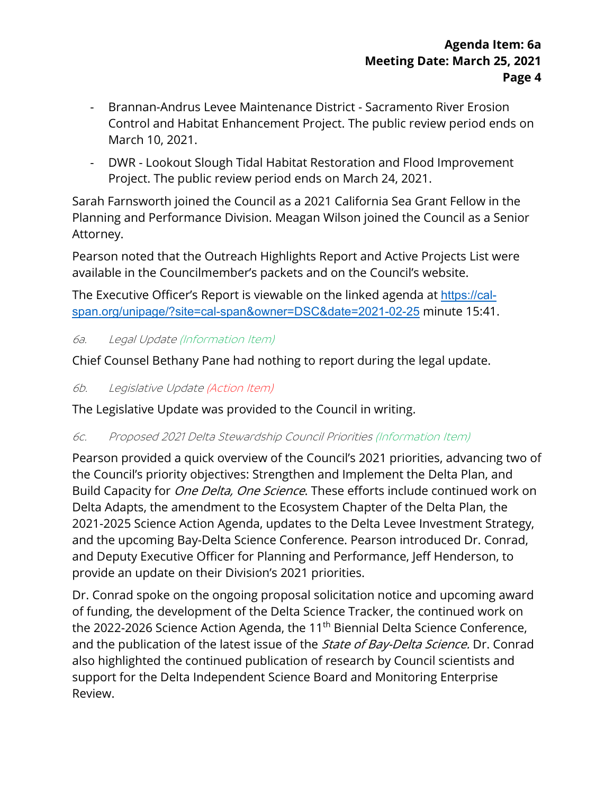- Brannan-Andrus Levee Maintenance District Sacramento River Erosion Control and Habitat Enhancement Project. The public review period ends on March 10, 2021.
- - DWR Lookout Slough Tidal Habitat Restoration and Flood Improvement Project. The public review period ends on March 24, 2021.

 Sarah Farnsworth joined the Council as a 2021 California Sea Grant Fellow in the Planning and Performance Division. Meagan Wilson joined the Council as a Senior Attorney.

Pearson noted that the Outreach Highlights Report and Active Projects List were available in the Councilmember's packets and on the Council's website.

The Executive Officer's Report is viewable on the linked agenda at <u><https://cal>-</u> span.org/unipage/?site=cal-span&owner=DSC&date=2021-02-25 minute 15:41.

6a. Legal Update (Information Item)

Chief Counsel Bethany Pane had nothing to report during the legal update.

6b. Legislative Update (Action Item)

The Legislative Update was provided to the Council in writing.

#### 6c. Proposed 2021 Delta Stewardship Council Priorities (Information Item)

 the Council's priority objectives: Strengthen and Implement the Delta Plan, and Build Capacity for *One Delta, One Science*. These efforts include continued work on provide an update on their Division's 2021 priorities. Pearson provided a quick overview of the Council's 2021 priorities, advancing two of Delta Adapts, the amendment to the Ecosystem Chapter of the Delta Plan, the 2021-2025 Science Action Agenda, updates to the Delta Levee Investment Strategy, and the upcoming Bay-Delta Science Conference. Pearson introduced Dr. Conrad, and Deputy Executive Officer for Planning and Performance, Jeff Henderson, to

the 2022-2026 Science Action Agenda, the 11<sup>th</sup> Biennial Delta Science Conference, and the publication of the latest issue of the *State of Bay-Delta Science.* Dr. Conrad Dr. Conrad spoke on the ongoing proposal solicitation notice and upcoming award of funding, the development of the Delta Science Tracker, the continued work on also highlighted the continued publication of research by Council scientists and support for the Delta Independent Science Board and Monitoring Enterprise Review.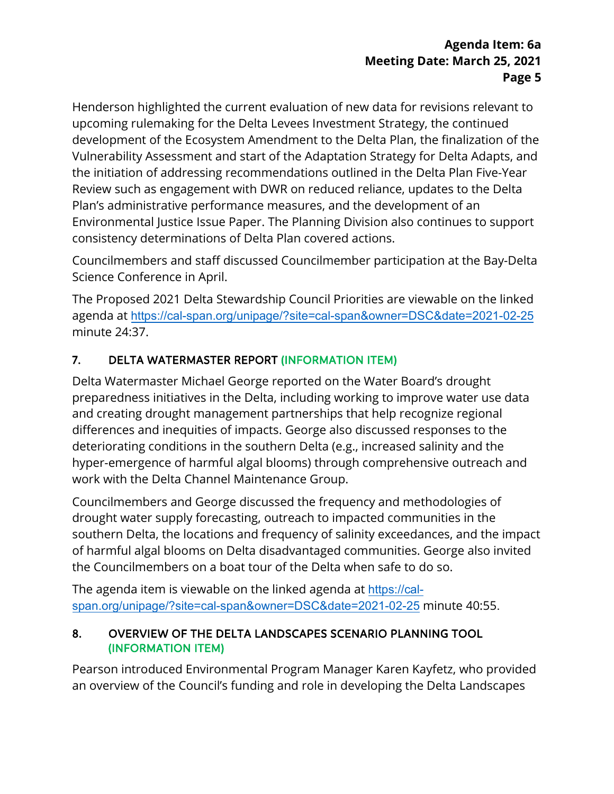consistency determinations of Delta Plan covered actions. Henderson highlighted the current evaluation of new data for revisions relevant to upcoming rulemaking for the Delta Levees Investment Strategy, the continued development of the Ecosystem Amendment to the Delta Plan, the finalization of the Vulnerability Assessment and start of the Adaptation Strategy for Delta Adapts, and the initiation of addressing recommendations outlined in the Delta Plan Five-Year Review such as engagement with DWR on reduced reliance, updates to the Delta Plan's administrative performance measures, and the development of an Environmental Justice Issue Paper. The Planning Division also continues to support

 Science Conference in April. Councilmembers and staff discussed Councilmember participation at the Bay-Delta

The Proposed 2021 Delta Stewardship Council Priorities are viewable on the linked agenda at <https://cal-span.org/unipage/?site=cal-span&owner=DSC&date=2021-02-25> minute 24:37.

## 7. DELTA WATERMASTER REPORT (INFORMATION ITEM)

 deteriorating conditions in the southern Delta (e.g., increased salinity and the Delta Watermaster Michael George reported on the Water Board's drought preparedness initiatives in the Delta, including working to improve water use data and creating drought management partnerships that help recognize regional differences and inequities of impacts. George also discussed responses to the hyper-emergence of harmful algal blooms) through comprehensive outreach and work with the Delta Channel Maintenance Group.

 Councilmembers and George discussed the frequency and methodologies of drought water supply forecasting, outreach to impacted communities in the southern Delta, the locations and frequency of salinity exceedances, and the impact of harmful algal blooms on Delta disadvantaged communities. George also invited the Councilmembers on a boat tour of the Delta when safe to do so.

 span.org/unipage/?site=cal-span&owner=DSC&date=2021-02-25 minute 40:55. The agenda item is viewable on the linked agenda at [https://cal-](https://cal)

#### 8. OVERVIEW OF THE DELTA LANDSCAPES SCENARIO PLANNING TOOL (INFORMATION ITEM)

Pearson introduced Environmental Program Manager Karen Kayfetz, who provided an overview of the Council's funding and role in developing the Delta Landscapes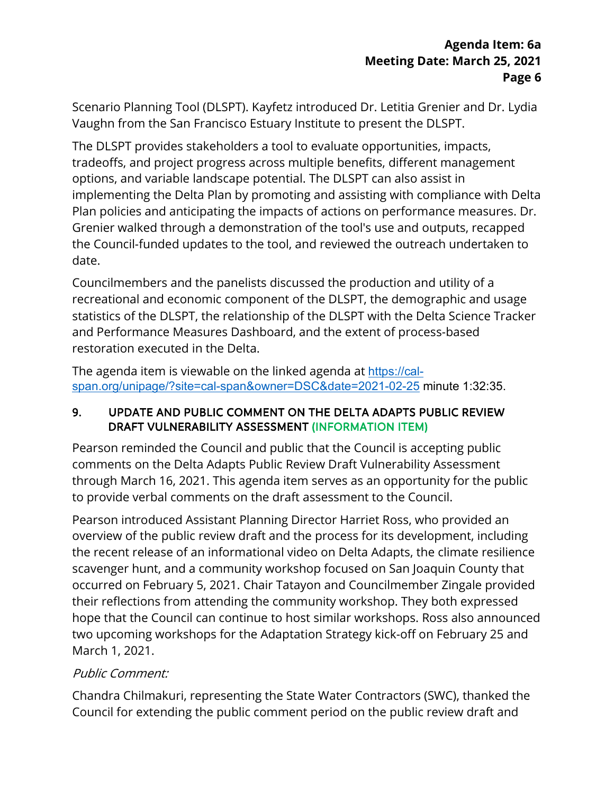Scenario Planning Tool (DLSPT). Kayfetz introduced Dr. Letitia Grenier and Dr. Lydia Vaughn from the San Francisco Estuary Institute to present the DLSPT.

 The DLSPT provides stakeholders a tool to evaluate opportunities, impacts, options, and variable landscape potential. The DLSPT can also assist in Grenier walked through a demonstration of the tool's use and outputs, recapped tradeoffs, and project progress across multiple benefits, different management implementing the Delta Plan by promoting and assisting with compliance with Delta Plan policies and anticipating the impacts of actions on performance measures. Dr. the Council-funded updates to the tool, and reviewed the outreach undertaken to date.

restoration executed in the Delta. Councilmembers and the panelists discussed the production and utility of a recreational and economic component of the DLSPT, the demographic and usage statistics of the DLSPT, the relationship of the DLSPT with the Delta Science Tracker and Performance Measures Dashboard, and the extent of process-based

The agenda item is viewable on the linked agenda at [https://cal](https://cal-span.org/unipage/?site=cal-span&owner=DSC&date=2021-02-25)[span.org/unipage/?site=cal-span&owner=DSC&date=2021-02-25](https://cal-span.org/unipage/?site=cal-span&owner=DSC&date=2021-02-25) minute 1:32:35.

#### 9. UPDATE AND PUBLIC COMMENT ON THE DELTA ADAPTS PUBLIC REVIEW DRAFT VULNERABILITY ASSESSMENT (INFORMATION ITEM)

 Pearson reminded the Council and public that the Council is accepting public comments on the Delta Adapts Public Review Draft Vulnerability Assessment through March 16, 2021. This agenda item serves as an opportunity for the public to provide verbal comments on the draft assessment to the Council.

 their reflections from attending the community workshop. They both expressed hope that the Council can continue to host similar workshops. Ross also announced Pearson introduced Assistant Planning Director Harriet Ross, who provided an overview of the public review draft and the process for its development, including the recent release of an informational video on Delta Adapts, the climate resilience scavenger hunt, and a community workshop focused on San Joaquin County that occurred on February 5, 2021. Chair Tatayon and Councilmember Zingale provided two upcoming workshops for the Adaptation Strategy kick-off on February 25 and March 1, 2021.

## Public Comment:

Chandra Chilmakuri, representing the State Water Contractors (SWC), thanked the Council for extending the public comment period on the public review draft and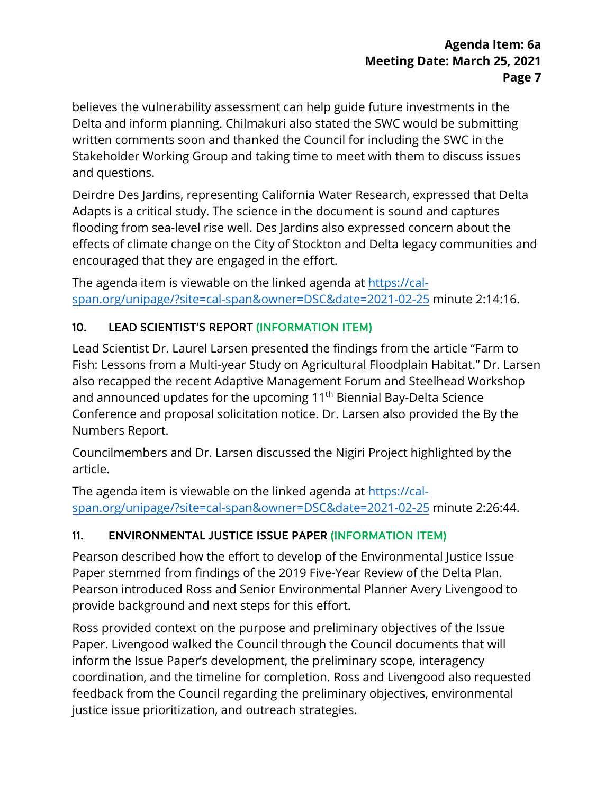believes the vulnerability assessment can help guide future investments in the written comments soon and thanked the Council for including the SWC in the Delta and inform planning. Chilmakuri also stated the SWC would be submitting Stakeholder Working Group and taking time to meet with them to discuss issues and questions.

 Adapts is a critical study. The science in the document is sound and captures flooding from sea-level rise well. Des Jardins also expressed concern about the Deirdre Des Jardins, representing California Water Research, expressed that Delta effects of climate change on the City of Stockton and Delta legacy communities and encouraged that they are engaged in the effort.

The agenda item is viewable on the linked agenda at [https://cal](https://cal-span.org/unipage/?site=cal-span&owner=DSC&date=2021-02-25)[span.org/unipage/?site=cal-span&owner=DSC&date=2021-02-25 m](https://cal-span.org/unipage/?site=cal-span&owner=DSC&date=2021-02-25)inute 2:14:16.

## 10. LEAD SCIENTIST'S REPORT (INFORMATION ITEM)

Lead Scientist Dr. Laurel Larsen presented the findings from the article "Farm to Fish: Lessons from a Multi-year Study on Agricultural Floodplain Habitat." Dr. Larsen also recapped the recent Adaptive Management Forum and Steelhead Workshop and announced updates for the upcoming 11<sup>th</sup> Biennial Bay-Delta Science Conference and proposal solicitation notice. Dr. Larsen also provided the By the Numbers Report.

Councilmembers and Dr. Larsen discussed the Nigiri Project highlighted by the article.

The agenda item is viewable on the linked agenda at [https://cal](https://cal-span.org/unipage/?site=cal-span&owner=DSC&date=2021-02-25)[span.org/unipage/?site=cal-span&owner=DSC&date=2021-02-25 m](https://cal-span.org/unipage/?site=cal-span&owner=DSC&date=2021-02-25)inute 2:26:44.

## 11. ENVIRONMENTAL JUSTICE ISSUE PAPER (INFORMATION ITEM)

 Pearson introduced Ross and Senior Environmental Planner Avery Livengood to Pearson described how the effort to develop of the Environmental Justice Issue Paper stemmed from findings of the 2019 Five-Year Review of the Delta Plan. provide background and next steps for this effort.

 Paper. Livengood walked the Council through the Council documents that will coordination, and the timeline for completion. Ross and Livengood also requested feedback from the Council regarding the preliminary objectives, environmental Ross provided context on the purpose and preliminary objectives of the Issue inform the Issue Paper's development, the preliminary scope, interagency justice issue prioritization, and outreach strategies.